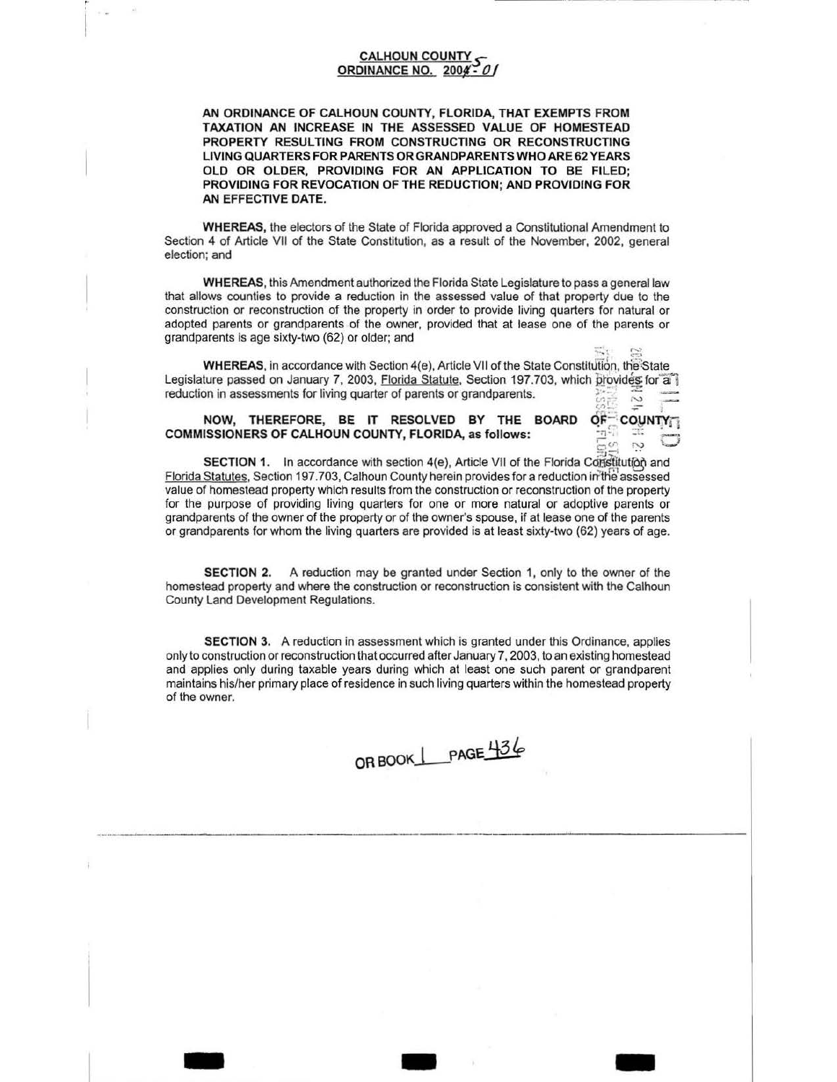## **CALHOUN COUNTY** ORDINANCE NO. 2004 - 0

AN ORDINANCE OF CALHOUN COUNTY, FLORIDA, THAT EXEMPTS FROM TAXATION AN INCREASE IN THE ASSESSED VALUE OF HOMESTEAD PROPERTY RESULTING FROM CONSTRUCTING OR RECONSTRUCTING LIVING QUARTERS FOR PARENTS OR GRANDPARENTS WHO ARE 62 YEARS OLD OR OLDER. PROVIDING FOR AN APPLICATION TO BE FILED: PROVIDING FOR REVOCATION OF THE REDUCTION: AND PROVIDING FOR AN EFFECTIVE DATE.

WHEREAS, the electors of the State of Florida approved a Constitutional Amendment to Section 4 of Article VII of the State Constitution, as a result of the November, 2002, general election; and

WHEREAS, this Amendment authorized the Florida State Legislature to pass a general law that allows counties to provide a reduction in the assessed value of that property due to the construction or reconstruction of the property in order to provide living quarters for natural or adopted parents or grandparents of the owner, provided that at lease one of the parents or grandparents is age sixty-two (62) or older; and

WHEREAS, in accordance with Section 4(e), Article VII of the State Constitution, the State Legislature passed on January 7, 2003, Florida Statute, Section 197.703, which provides for a reduction in assessments for living quarter of parents or grandparents.  $\sim$ 

OF-COUNTY

ŗ,

 $\overline{\phantom{a}}^{\overline{\alpha}}$ 

## NOW, THEREFORE, BE IT RESOLVED BY THE BOARD COMMISSIONERS OF CALHOUN COUNTY, FLORIDA, as follows:

SECTION 1. In accordance with section 4(e), Article VII of the Florida Constitution and Florida Statutes, Section 197.703, Calhoun County herein provides for a reduction in the assessed value of homestead property which results from the construction or reconstruction of the property for the purpose of providing living quarters for one or more natural or adoptive parents or grandparents of the owner of the property or of the owner's spouse, if at lease one of the parents or grandparents for whom the living quarters are provided is at least sixty-two (62) years of age.

SECTION 2. A reduction may be granted under Section 1, only to the owner of the homestead property and where the construction or reconstruction is consistent with the Calhoun County Land Development Regulations.

**SECTION 3.** A reduction in assessment which is granted under this Ordinance, applies only to construction or reconstruction that occurred after January 7, 2003, to an existing homestead and applies only during taxable years during which at least one such parent or grandparent maintains his/her primary place of residence in such living quarters within the homestead property of the owner.

ORBOOK PAGE 436